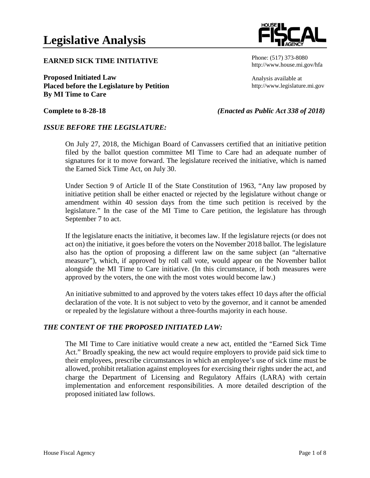#### **EARNED SICK TIME INITIATIVE**

**Proposed Initiated Law Placed before the Legislature by Petition By MI Time to Care**

Phone: (517) 373-8080 http://www.house.mi.gov/hfa

Analysis available at http://www.legislature.mi.gov

#### **Complete to 8-28-18** *(Enacted as Public Act 338 of 2018)*

#### *ISSUE BEFORE THE LEGISLATURE:*

On July 27, 2018, the Michigan Board of Canvassers certified that an initiative petition filed by the ballot question committee MI Time to Care had an adequate number of signatures for it to move forward. The legislature received the initiative, which is named the Earned Sick Time Act, on July 30.

Under Section 9 of Article II of the State Constitution of 1963, "Any law proposed by initiative petition shall be either enacted or rejected by the legislature without change or amendment within 40 session days from the time such petition is received by the legislature." In the case of the MI Time to Care petition, the legislature has through September 7 to act.

If the legislature enacts the initiative, it becomes law. If the legislature rejects (or does not act on) the initiative, it goes before the voters on the November 2018 ballot. The legislature also has the option of proposing a different law on the same subject (an "alternative measure"), which, if approved by roll call vote, would appear on the November ballot alongside the MI Time to Care initiative. (In this circumstance, if both measures were approved by the voters, the one with the most votes would become law.)

An initiative submitted to and approved by the voters takes effect 10 days after the official declaration of the vote. It is not subject to veto by the governor, and it cannot be amended or repealed by the legislature without a three-fourths majority in each house.

#### *THE CONTENT OF THE PROPOSED INITIATED LAW:*

The MI Time to Care initiative would create a new act, entitled the "Earned Sick Time Act." Broadly speaking, the new act would require employers to provide paid sick time to their employees, prescribe circumstances in which an employee's use of sick time must be allowed, prohibit retaliation against employees for exercising their rights under the act, and charge the Department of Licensing and Regulatory Affairs (LARA) with certain implementation and enforcement responsibilities. A more detailed description of the proposed initiated law follows.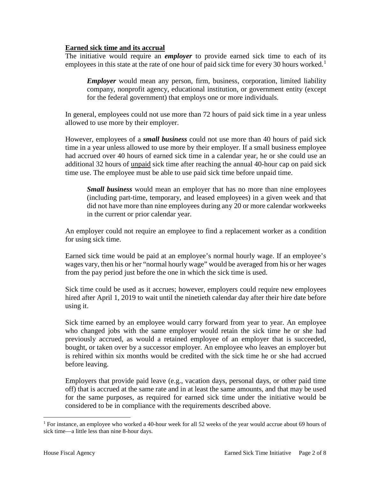## **Earned sick time and its accrual**

The initiative would require an *employer* to provide earned sick time to each of its employees in this state at the rate of one hour of paid sick time for every 30 hours worked.<sup>[1](#page-1-0)</sup>

*Employer* would mean any person, firm, business, corporation, limited liability company, nonprofit agency, educational institution, or government entity (except for the federal government) that employs one or more individuals.

In general, employees could not use more than 72 hours of paid sick time in a year unless allowed to use more by their employer.

However, employees of a *small business* could not use more than 40 hours of paid sick time in a year unless allowed to use more by their employer. If a small business employee had accrued over 40 hours of earned sick time in a calendar year, he or she could use an additional 32 hours of unpaid sick time after reaching the annual 40-hour cap on paid sick time use. The employee must be able to use paid sick time before unpaid time.

*Small business* would mean an employer that has no more than nine employees (including part-time, temporary, and leased employees) in a given week and that did not have more than nine employees during any 20 or more calendar workweeks in the current or prior calendar year.

An employer could not require an employee to find a replacement worker as a condition for using sick time.

Earned sick time would be paid at an employee's normal hourly wage. If an employee's wages vary, then his or her "normal hourly wage" would be averaged from his or her wages from the pay period just before the one in which the sick time is used.

Sick time could be used as it accrues; however, employers could require new employees hired after April 1, 2019 to wait until the ninetieth calendar day after their hire date before using it.

Sick time earned by an employee would carry forward from year to year. An employee who changed jobs with the same employer would retain the sick time he or she had previously accrued, as would a retained employee of an employer that is succeeded, bought, or taken over by a successor employer. An employee who leaves an employer but is rehired within six months would be credited with the sick time he or she had accrued before leaving.

Employers that provide paid leave (e.g., vacation days, personal days, or other paid time off) that is accrued at the same rate and in at least the same amounts, and that may be used for the same purposes, as required for earned sick time under the initiative would be considered to be in compliance with the requirements described above.

<span id="page-1-0"></span><sup>&</sup>lt;sup>1</sup> For instance, an employee who worked a 40-hour week for all 52 weeks of the year would accrue about 69 hours of sick time—a little less than nine 8-hour days.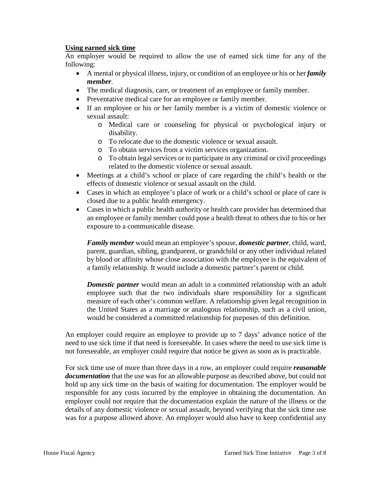## **Using earned sick time**

An employer would be required to allow the use of earned sick time for any of the following:

- A mental or physical illness, injury, or condition of an employee or his or her *family member*.
- The medical diagnosis, care, or treatment of an employee or family member.
- Preventative medical care for an employee or family member.
- If an employee or his or her family member is a victim of domestic violence or sexual assault:
	- o Medical care or counseling for physical or psychological injury or disability.
	- o To relocate due to the domestic violence or sexual assault.
	- o To obtain services from a victim services organization.
	- o To obtain legal services or to participate in any criminal or civil proceedings related to the domestic violence or sexual assault.
- Meetings at a child's school or place of care regarding the child's health or the effects of domestic violence or sexual assault on the child.
- Cases in which an employee's place of work or a child's school or place of care is closed due to a public health emergency.
- Cases in which a public health authority or health care provider has determined that an employee or family member could pose a health threat to others due to his or her exposure to a communicable disease.

*Family member* would mean an employee's spouse, *domestic partner*, child, ward, parent, guardian, sibling, grandparent, or grandchild or any other individual related by blood or affinity whose close association with the employee is the equivalent of a family relationship. It would include a domestic partner's parent or child.

*Domestic partner* would mean an adult in a committed relationship with an adult employee such that the two individuals share responsibility for a significant measure of each other's common welfare. A relationship given legal recognition in the United States as a marriage or analogous relationship, such as a civil union, would be considered a committed relationship for purposes of this definition.

An employer could require an employee to provide up to 7 days' advance notice of the need to use sick time if that need is foreseeable. In cases where the need to use sick time is not foreseeable, an employer could require that notice be given as soon as is practicable.

For sick time use of more than three days in a row, an employer could require *reasonable documentation* that the use was for an allowable purpose as described above, but could not hold up any sick time on the basis of waiting for documentation. The employer would be responsible for any costs incurred by the employee in obtaining the documentation. An employer could not require that the documentation explain the nature of the illness or the details of any domestic violence or sexual assault, beyond verifying that the sick time use was for a purpose allowed above. An employer would also have to keep confidential any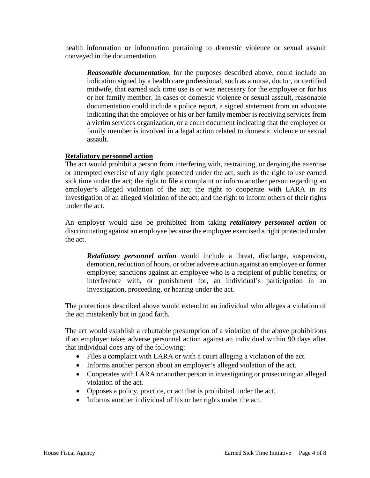health information or information pertaining to domestic violence or sexual assault conveyed in the documentation.

*Reasonable documentation*, for the purposes described above, could include an indication signed by a health care professional, such as a nurse, doctor, or certified midwife, that earned sick time use is or was necessary for the employee or for his or her family member. In cases of domestic violence or sexual assault, reasonable documentation could include a police report, a signed statement from an advocate indicating that the employee or his or her family member is receiving services from a victim services organization, or a court document indicating that the employee or family member is involved in a legal action related to domestic violence or sexual assault.

## **Retaliatory personnel action**

The act would prohibit a person from interfering with, restraining, or denying the exercise or attempted exercise of any right protected under the act, such as the right to use earned sick time under the act; the right to file a complaint or inform another person regarding an employer's alleged violation of the act; the right to cooperate with LARA in its investigation of an alleged violation of the act; and the right to inform others of their rights under the act.

An employer would also be prohibited from taking *retaliatory personnel action* or discriminating against an employee because the employee exercised a right protected under the act.

*Retaliatory personnel action* would include a threat, discharge, suspension, demotion, reduction of hours, or other adverse action against an employee or former employee; sanctions against an employee who is a recipient of public benefits; or interference with, or punishment for, an individual's participation in an investigation, proceeding, or hearing under the act.

The protections described above would extend to an individual who alleges a violation of the act mistakenly but in good faith.

The act would establish a rebuttable presumption of a violation of the above prohibitions if an employer takes adverse personnel action against an individual within 90 days after that individual does any of the following:

- Files a complaint with LARA or with a court alleging a violation of the act.
- Informs another person about an employer's alleged violation of the act.
- Cooperates with LARA or another person in investigating or prosecuting an alleged violation of the act.
- Opposes a policy, practice, or act that is prohibited under the act.
- Informs another individual of his or her rights under the act.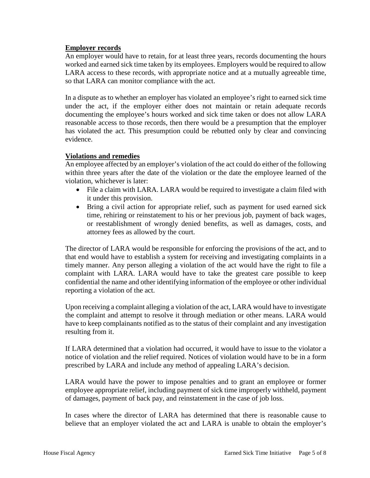## **Employer records**

An employer would have to retain, for at least three years, records documenting the hours worked and earned sick time taken by its employees. Employers would be required to allow LARA access to these records, with appropriate notice and at a mutually agreeable time, so that LARA can monitor compliance with the act.

In a dispute as to whether an employer has violated an employee's right to earned sick time under the act, if the employer either does not maintain or retain adequate records documenting the employee's hours worked and sick time taken or does not allow LARA reasonable access to those records, then there would be a presumption that the employer has violated the act. This presumption could be rebutted only by clear and convincing evidence.

## **Violations and remedies**

An employee affected by an employer's violation of the act could do either of the following within three years after the date of the violation or the date the employee learned of the violation, whichever is later:

- File a claim with LARA. LARA would be required to investigate a claim filed with it under this provision.
- Bring a civil action for appropriate relief, such as payment for used earned sick time, rehiring or reinstatement to his or her previous job, payment of back wages, or reestablishment of wrongly denied benefits, as well as damages, costs, and attorney fees as allowed by the court.

The director of LARA would be responsible for enforcing the provisions of the act, and to that end would have to establish a system for receiving and investigating complaints in a timely manner. Any person alleging a violation of the act would have the right to file a complaint with LARA. LARA would have to take the greatest care possible to keep confidential the name and other identifying information of the employee or other individual reporting a violation of the act.

Upon receiving a complaint alleging a violation of the act, LARA would have to investigate the complaint and attempt to resolve it through mediation or other means. LARA would have to keep complainants notified as to the status of their complaint and any investigation resulting from it.

If LARA determined that a violation had occurred, it would have to issue to the violator a notice of violation and the relief required. Notices of violation would have to be in a form prescribed by LARA and include any method of appealing LARA's decision.

LARA would have the power to impose penalties and to grant an employee or former employee appropriate relief, including payment of sick time improperly withheld, payment of damages, payment of back pay, and reinstatement in the case of job loss.

In cases where the director of LARA has determined that there is reasonable cause to believe that an employer violated the act and LARA is unable to obtain the employer's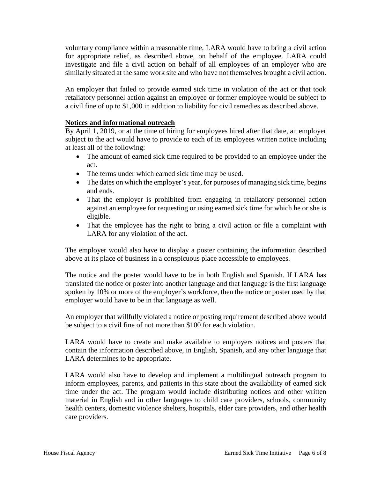voluntary compliance within a reasonable time, LARA would have to bring a civil action for appropriate relief, as described above, on behalf of the employee. LARA could investigate and file a civil action on behalf of all employees of an employer who are similarly situated at the same work site and who have not themselves brought a civil action.

An employer that failed to provide earned sick time in violation of the act or that took retaliatory personnel action against an employee or former employee would be subject to a civil fine of up to \$1,000 in addition to liability for civil remedies as described above.

## **Notices and informational outreach**

By April 1, 2019, or at the time of hiring for employees hired after that date, an employer subject to the act would have to provide to each of its employees written notice including at least all of the following:

- The amount of earned sick time required to be provided to an employee under the act.
- The terms under which earned sick time may be used.
- The dates on which the employer's year, for purposes of managing sick time, begins and ends.
- That the employer is prohibited from engaging in retaliatory personnel action against an employee for requesting or using earned sick time for which he or she is eligible.
- That the employee has the right to bring a civil action or file a complaint with LARA for any violation of the act.

The employer would also have to display a poster containing the information described above at its place of business in a conspicuous place accessible to employees.

The notice and the poster would have to be in both English and Spanish. If LARA has translated the notice or poster into another language and that language is the first language spoken by 10% or more of the employer's workforce, then the notice or poster used by that employer would have to be in that language as well.

An employer that willfully violated a notice or posting requirement described above would be subject to a civil fine of not more than \$100 for each violation.

LARA would have to create and make available to employers notices and posters that contain the information described above, in English, Spanish, and any other language that LARA determines to be appropriate.

LARA would also have to develop and implement a multilingual outreach program to inform employees, parents, and patients in this state about the availability of earned sick time under the act. The program would include distributing notices and other written material in English and in other languages to child care providers, schools, community health centers, domestic violence shelters, hospitals, elder care providers, and other health care providers.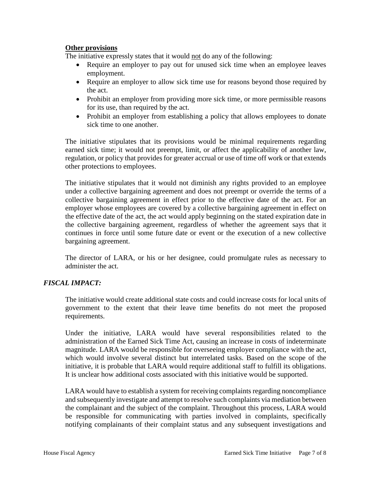### **Other provisions**

The initiative expressly states that it would not do any of the following:

- Require an employer to pay out for unused sick time when an employee leaves employment.
- Require an employer to allow sick time use for reasons beyond those required by the act.
- Prohibit an employer from providing more sick time, or more permissible reasons for its use, than required by the act.
- Prohibit an employer from establishing a policy that allows employees to donate sick time to one another.

The initiative stipulates that its provisions would be minimal requirements regarding earned sick time; it would not preempt, limit, or affect the applicability of another law, regulation, or policy that provides for greater accrual or use of time off work or that extends other protections to employees.

The initiative stipulates that it would not diminish any rights provided to an employee under a collective bargaining agreement and does not preempt or override the terms of a collective bargaining agreement in effect prior to the effective date of the act. For an employer whose employees are covered by a collective bargaining agreement in effect on the effective date of the act, the act would apply beginning on the stated expiration date in the collective bargaining agreement, regardless of whether the agreement says that it continues in force until some future date or event or the execution of a new collective bargaining agreement.

The director of LARA, or his or her designee, could promulgate rules as necessary to administer the act.

# *FISCAL IMPACT:*

The initiative would create additional state costs and could increase costs for local units of government to the extent that their leave time benefits do not meet the proposed requirements.

Under the initiative, LARA would have several responsibilities related to the administration of the Earned Sick Time Act, causing an increase in costs of indeterminate magnitude. LARA would be responsible for overseeing employer compliance with the act, which would involve several distinct but interrelated tasks. Based on the scope of the initiative, it is probable that LARA would require additional staff to fulfill its obligations. It is unclear how additional costs associated with this initiative would be supported.

LARA would have to establish a system for receiving complaints regarding noncompliance and subsequently investigate and attempt to resolve such complaints via mediation between the complainant and the subject of the complaint. Throughout this process, LARA would be responsible for communicating with parties involved in complaints, specifically notifying complainants of their complaint status and any subsequent investigations and